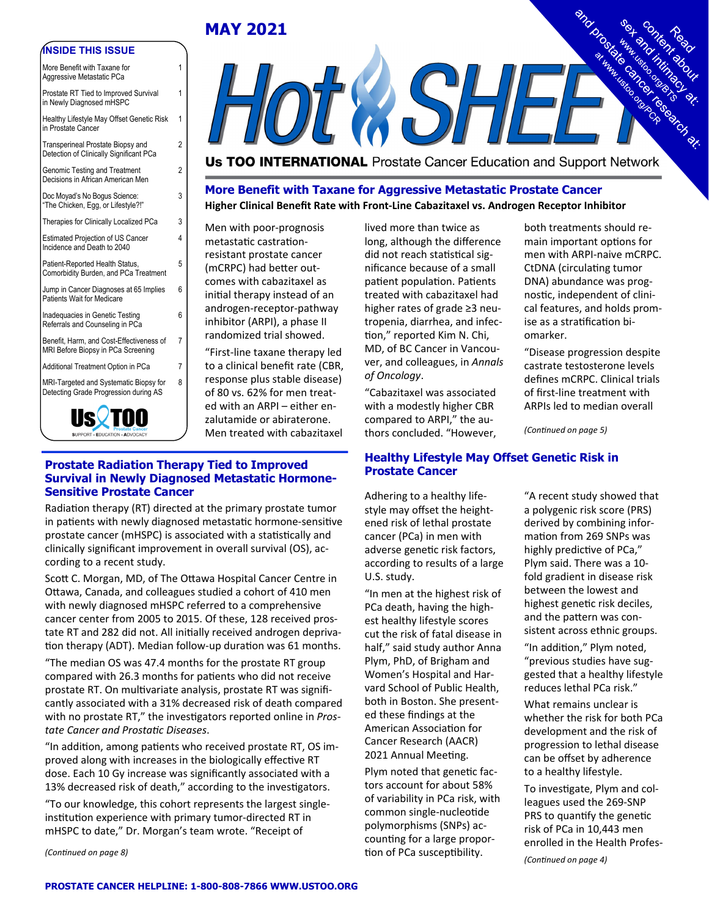# **MAY 2021**

1

1

1

2

2

3

4

5

6

6

8

#### **INSIDE THIS ISSUE**

| More Benefit with Taxane for<br>Aggressive Metastatic PCa         |  |  |  |
|-------------------------------------------------------------------|--|--|--|
| Prostate RT Tied to Improved Survival<br>in Newly Diagnosed mHSPC |  |  |  |
| Healthy Lifestyle May Offset Genetic Risk                         |  |  |  |

in Prostate Cancer Transperineal Prostate Biopsy and Detection of Clinically Significant PCa Genomic Testing and Treatment Decisions in African American Men Doc Moyad's No Bogus Science: "The Chicken, Egg, or Lifestyle?!" Therapies for Clinically Localized PCa 3 Estimated Projection of US Cancer Incidence and Death to 2040 Patient-Reported Health Status, Comorbidity Burden, and PCa Treatment Jump in Cancer Diagnoses at 65 Implies Patients Wait for Medicare Inadequacies in Genetic Testing Referrals and Counseling in PCa Benefit, Harm, and Cost-Effectiveness of MRI Before Biopsy in PCa Screening 7 Additional Treatment Option in PCa 7 MRI-Targeted and Systematic Biopsy for Detecting Grade Progression during AS



**EXSHE** 

**Us TOO INTERNATIONAL** Prostate Cancer Education and Support Network

**More Benefit with Taxane for Aggressive Metastatic Prostate Cancer Higher Clinical Benefit Rate with Front‐Line Cabazitaxel vs. Androgen Receptor Inhibitor** 

Men with poor‐prognosis metastatic castrationresistant prostate cancer (mCRPC) had better outcomes with cabazitaxel as initial therapy instead of an androgen‐receptor‐pathway inhibitor (ARPI), a phase II randomized trial showed.

"First‐line taxane therapy led to a clinical benefit rate (CBR, response plus stable disease) of 80 vs. 62% for men treat‐ ed with an ARPI – either en‐ zalutamide or abiraterone. Men treated with cabazitaxel

#### **Prostate Radiation Therapy Tied to Improved Prostate Cancer Survival in Newly Diagnosed Metastatic Hormone-Sensitive Prostate Cancer**

Radiation therapy (RT) directed at the primary prostate tumor in patients with newly diagnosed metastatic hormone-sensitive prostate cancer (mHSPC) is associated with a statistically and clinically significant improvement in overall survival (OS), ac‐ cording to a recent study.

Scott C. Morgan, MD, of The Ottawa Hospital Cancer Centre in Ottawa, Canada, and colleagues studied a cohort of 410 men with newly diagnosed mHSPC referred to a comprehensive cancer center from 2005 to 2015. Of these, 128 received pros‐ tate RT and 282 did not. All initially received androgen deprivation therapy (ADT). Median follow-up duration was 61 months.

"The median OS was 47.4 months for the prostate RT group compared with 26.3 months for patients who did not receive prostate RT. On multivariate analysis, prostate RT was significantly associated with a 31% decreased risk of death compared with no prostate RT," the investigators reported online in *Prostate Cancer and ProstaƟc Diseases*.

"In addition, among patients who received prostate RT, OS improved along with increases in the biologically effective RT dose. Each 10 Gy increase was significantly associated with a 13% decreased risk of death," according to the investigators.

"To our knowledge, this cohort represents the largest single‐ institution experience with primary tumor-directed RT in mHSPC to date," Dr. Morgan's team wrote. "Receipt of

*(ConƟnued on page 8)* 

lived more than twice as long, although the difference did not reach statistical significance because of a small patient population. Patients treated with cabazitaxel had higher rates of grade ≥3 neu‐ tropenia, diarrhea, and infec‐ tion," reported Kim N. Chi, MD, of BC Cancer in Vancou‐ ver, and colleagues, in *Annals of Oncology*.

"Cabazitaxel was associated with a modestly higher CBR compared to ARPI," the au‐ thors concluded. "However,

**Healthy Lifestyle May Offset Genetic Risk in** 

Adhering to a healthy life‐ style may offset the height‐ ened risk of lethal prostate cancer (PCa) in men with adverse genetic risk factors, according to results of a large U.S. study.

"In men at the highest risk of PCa death, having the high‐ est healthy lifestyle scores cut the risk of fatal disease in half," said study author Anna Plym, PhD, of Brigham and Women's Hospital and Har‐ vard School of Public Health, both in Boston. She present‐ ed these findings at the American AssociaƟon for Cancer Research (AACR) 2021 Annual Meeting.

Plym noted that genetic factors account for about 58% of variability in PCa risk, with common single‐nucleoƟde polymorphisms (SNPs) ac‐ counting for a large proportion of PCa susceptibility.

men with ARPI‐naive mCRPC. CtDNA (circulating tumor DNA) abundance was prog‐ nostic, independent of clinical features, and holds prom‐ ise as a stratification biomarker. "Disease progression despite

both treatments should re‐ main important options for

castrate testosterone levels defines mCRPC. Clinical trials of first‐line treatment with ARPIs led to median overall

*(ConƟnued on page 5)* 

"A recent study showed that a polygenic risk score (PRS) derived by combining infor‐ mation from 269 SNPs was highly predictive of PCa," Plym said. There was a 10‐ fold gradient in disease risk between the lowest and highest genetic risk deciles, and the pattern was consistent across ethnic groups.

"In addition," Plym noted, "previous studies have sug‐ gested that a healthy lifestyle reduces lethal PCa risk."

What remains unclear is whether the risk for both PCa development and the risk of progression to lethal disease can be offset by adherence to a healthy lifestyle.

To investigate, Plym and colleagues used the 269‐SNP PRS to quantify the genetic risk of PCa in 10,443 men enrolled in the Health Profes‐

*(ConƟnued on page 4)*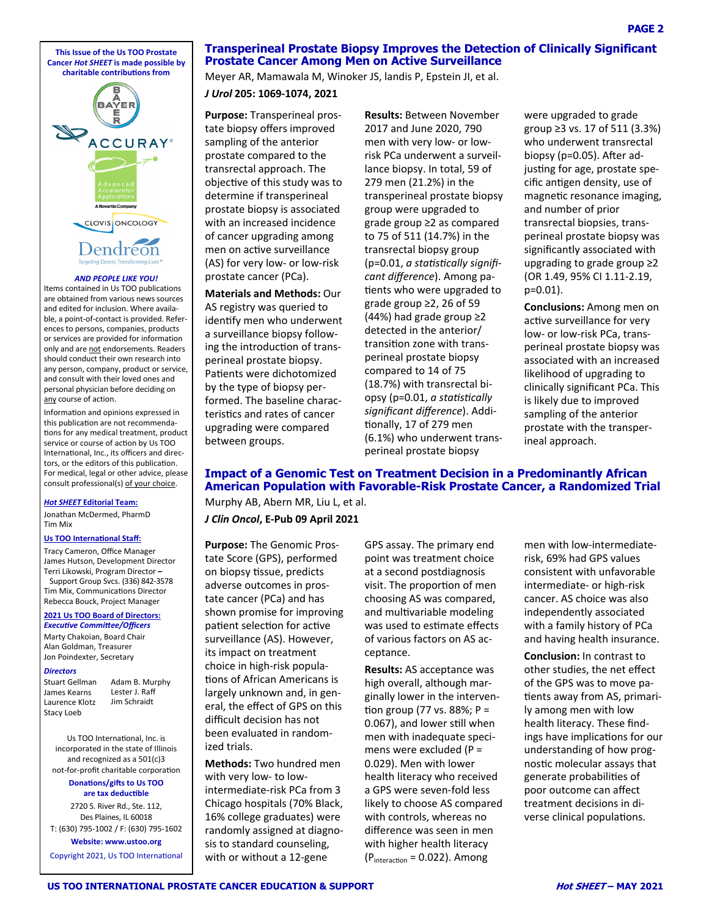**This Issue of the Us TOO Prostate Cancer** *Hot SHEET* **is made possible by charitable contribuƟons from** 



#### *AND PEOPLE LIKE YOU!*

Items contained in Us TOO publications are obtained from various news sources and edited for inclusion. Where availa‐ ble, a point‐of‐contact is provided. Refer‐ ences to persons, companies, products or services are provided for information only and are not endorsements. Readers should conduct their own research into any person, company, product or service, and consult with their loved ones and personal physician before deciding on any course of action.

Information and opinions expressed in this publication are not recommendations for any medical treatment, product service or course of action by Us TOO International, Inc., its officers and directors, or the editors of this publication. For medical, legal or other advice, please consult professional(s) of your choice.

#### *Hot SHEET* **Editorial Team:**

Jonathan McDermed, PharmD Tim Mix

#### **Us TOO International Staff:**

Tracy Cameron, Office Manager James Hutson, Development Director Terri Likowski, Program Director **–** Support Group Svcs. (336) 842‐3578 Tim Mix, Communications Director Rebecca Bouck, Project Manager

#### **2021 Us TOO Board of Directors:**

*ExecuƟve CommiƩee/Officers*  Marty Chakoian, Board Chair Alan Goldman, Treasurer Jon Poindexter, Secretary

#### *Directors*

Stuart Gellman James Kearns Laurence Klotz Stacy Loeb

Adam B. Murphy Lester J. Raff Jim Schraidt

Us TOO InternaƟonal, Inc. is incorporated in the state of Illinois and recognized as a 501(c)3 not-for-profit charitable corporation **Donations/gifts to Us TOO** 

# **are tax deducƟble**

2720 S. River Rd., Ste. 112, Des Plaines, IL 60018 T: (630) 795‐1002 / F: (630) 795‐1602

**Website: www.ustoo.org**  Copyright 2021, Us TOO International

#### **Transperineal Prostate Biopsy Improves the Detection of Clinically Significant Prostate Cancer Among Men on Active Surveillance**

Meyer AR, Mamawala M, Winoker JS, landis P, Epstein JI, et al.

*J Urol* **205: 1069‐1074, 2021** 

**Purpose:** Transperineal pros‐ tate biopsy offers improved sampling of the anterior prostate compared to the transrectal approach. The objective of this study was to determine if transperineal prostate biopsy is associated with an increased incidence of cancer upgrading among men on active surveillance (AS) for very low‐ or low‐risk prostate cancer (PCa).

**Materials and Methods:** Our AS registry was queried to identify men who underwent a surveillance biopsy follow‐ ing the introduction of transperineal prostate biopsy. Patients were dichotomized by the type of biopsy per‐ formed. The baseline charac‐ teristics and rates of cancer upgrading were compared between groups.

**Results:** Between November 2017 and June 2020, 790 men with very low‐ or low‐ risk PCa underwent a surveil‐ lance biopsy. In total, 59 of 279 men (21.2%) in the transperineal prostate biopsy group were upgraded to grade group ≥2 as compared to 75 of 511 (14.7%) in the transrectal biopsy group (p=0.01, *a staƟsƟcally significant difference*). Among pa‐ tients who were upgraded to grade group ≥2, 26 of 59 (44%) had grade group ≥2 detected in the anterior/ transition zone with transperineal prostate biopsy compared to 14 of 75 (18.7%) with transrectal bi‐ opsy (p=0.01, *a staƟsƟcally significant difference*). Addi‐ tionally, 17 of 279 men (6.1%) who underwent trans‐ perineal prostate biopsy

were upgraded to grade group ≥3 vs. 17 of 511 (3.3%) who underwent transrectal biopsy ( $p=0.05$ ). After adjusting for age, prostate specific antigen density, use of magnetic resonance imaging, and number of prior transrectal biopsies, trans‐ perineal prostate biopsy was significantly associated with upgrading to grade group ≥2 (OR 1.49, 95% CI 1.11‐2.19, p=0.01).

**Conclusions:** Among men on active surveillance for very low‐ or low‐risk PCa, trans‐ perineal prostate biopsy was associated with an increased likelihood of upgrading to clinically significant PCa. This is likely due to improved sampling of the anterior prostate with the transper‐ ineal approach.

#### **Impact of a Genomic Test on Treatment Decision in a Predominantly African American Population with Favorable-Risk Prostate Cancer, a Randomized Trial**

Murphy AB, Abern MR, Liu L, et al. *J Clin Oncol***, E‐Pub 09 April 2021** 

**Purpose:** The Genomic Pros‐ tate Score (GPS), performed on biopsy tissue, predicts adverse outcomes in pros‐ tate cancer (PCa) and has shown promise for improving patient selection for active surveillance (AS). However, its impact on treatment choice in high‐risk popula‐ tions of African Americans is largely unknown and, in gen‐ eral, the effect of GPS on this difficult decision has not been evaluated in random‐ ized trials.

**Methods:** Two hundred men with very low‐ to low‐ intermediate‐risk PCa from 3 Chicago hospitals (70% Black, 16% college graduates) were randomly assigned at diagno‐ sis to standard counseling, with or without a 12‐gene

GPS assay. The primary end point was treatment choice at a second postdiagnosis visit. The proportion of men choosing AS was compared, and multivariable modeling was used to estimate effects of various factors on AS ac‐ ceptance.

**Results:** AS acceptance was high overall, although mar‐ ginally lower in the interven‐ tion group (77 vs. 88%;  $P =$ 0.067), and lower still when men with inadequate speci‐ mens were excluded (P = 0.029). Men with lower health literacy who received a GPS were seven‐fold less likely to choose AS compared with controls, whereas no difference was seen in men with higher health literacy  $(P_{interaction} = 0.022)$ . Among

men with low-intermediaterisk, 69% had GPS values consistent with unfavorable intermediate‐ or high‐risk cancer. AS choice was also independently associated with a family history of PCa and having health insurance.

**Conclusion:** In contrast to other studies, the net effect of the GPS was to move pa‐ tients away from AS, primarily among men with low health literacy. These find‐ ings have implications for our understanding of how prog‐ nostic molecular assays that generate probabilities of poor outcome can affect treatment decisions in di‐ verse clinical populations.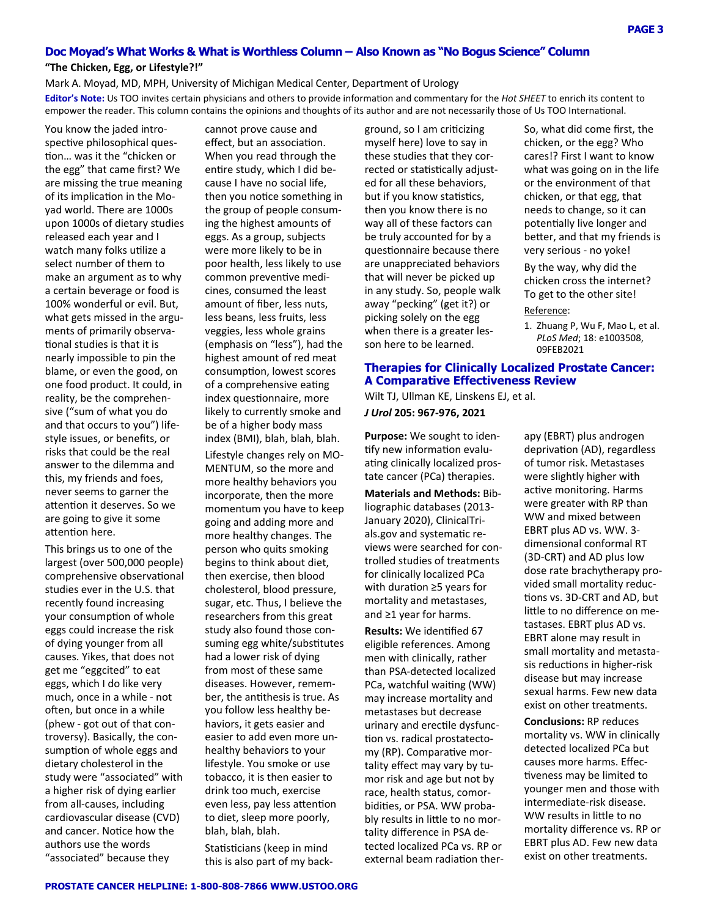#### **Doc Moyad's What Works & What is Worthless Column – Also Known as "No Bogus Science" Column**

#### **"The Chicken, Egg, or Lifestyle?!"**

Mark A. Moyad, MD, MPH, University of Michigan Medical Center, Department of Urology **Editor's Note:** Us TOO invites certain physicians and others to provide information and commentary for the *Hot SHEET* to enrich its content to empower the reader. This column contains the opinions and thoughts of its author and are not necessarily those of Us TOO International.

You know the jaded intro‐ spective philosophical ques-Ɵon… was it the "chicken or the egg" that came first? We are missing the true meaning of its implication in the Moyad world. There are 1000s upon 1000s of dietary studies released each year and I watch many folks utilize a select number of them to make an argument as to why a certain beverage or food is 100% wonderful or evil. But, what gets missed in the arguments of primarily observa‐ tional studies is that it is nearly impossible to pin the blame, or even the good, on one food product. It could, in reality, be the comprehen‐ sive ("sum of what you do and that occurs to you") life‐ style issues, or benefits, or risks that could be the real answer to the dilemma and this, my friends and foes, never seems to garner the attention it deserves. So we are going to give it some attention here.

This brings us to one of the largest (over 500,000 people) comprehensive observational studies ever in the U.S. that recently found increasing your consumption of whole eggs could increase the risk of dying younger from all causes. Yikes, that does not get me "eggcited" to eat eggs, which I do like very much, once in a while ‐ not often, but once in a while (phew ‐ got out of that con‐ troversy). Basically, the con‐ sumption of whole eggs and dietary cholesterol in the study were "associated" with a higher risk of dying earlier from all-causes, including cardiovascular disease (CVD) and cancer. Notice how the authors use the words "associated" because they

cannot prove cause and effect, but an association. When you read through the entire study, which I did because I have no social life, then you notice something in the group of people consum‐ ing the highest amounts of eggs. As a group, subjects were more likely to be in poor health, less likely to use common preventive medicines, consumed the least amount of fiber, less nuts, less beans, less fruits, less veggies, less whole grains (emphasis on "less"), had the highest amount of red meat consumption, lowest scores of a comprehensive eating index questionnaire, more likely to currently smoke and be of a higher body mass index (BMI), blah, blah, blah.

Lifestyle changes rely on MO‐ MENTUM, so the more and more healthy behaviors you incorporate, then the more momentum you have to keep going and adding more and more healthy changes. The person who quits smoking begins to think about diet, then exercise, then blood cholesterol, blood pressure, sugar, etc. Thus, I believe the researchers from this great study also found those con‐ suming egg white/substitutes had a lower risk of dying from most of these same diseases. However, remem‐ ber, the antithesis is true. As you follow less healthy be‐ haviors, it gets easier and easier to add even more un‐ healthy behaviors to your lifestyle. You smoke or use tobacco, it is then easier to drink too much, exercise even less, pay less attention to diet, sleep more poorly, blah, blah, blah.

Statisticians (keep in mind this is also part of my back‐ ground, so I am criticizing myself here) love to say in these studies that they cor‐ rected or statistically adjusted for all these behaviors, but if you know statistics, then you know there is no way all of these factors can be truly accounted for by a quesƟonnaire because there are unappreciated behaviors that will never be picked up in any study. So, people walk away "pecking" (get it?) or picking solely on the egg when there is a greater lesson here to be learned.

So, what did come first, the chicken, or the egg? Who cares!? First I want to know what was going on in the life or the environment of that chicken, or that egg, that needs to change, so it can potentially live longer and better, and that my friends is very serious ‐ no yoke!

By the way, why did the chicken cross the internet? To get to the other site! Reference:

1. Zhuang P, Wu F, Mao L, et al. *PLoS Med*; 18: e1003508, 09FEB2021

#### **Therapies for Clinically Localized Prostate Cancer: A Comparative Effectiveness Review**

Wilt TJ, Ullman KE, Linskens EJ, et al. *J Urol* **205: 967‐976, 2021** 

**Purpose:** We sought to iden‐ tify new information evaluating clinically localized prostate cancer (PCa) therapies.

**Materials and Methods:** Bib‐ liographic databases (2013‐ January 2020), ClinicalTri‐ als.gov and systematic reviews were searched for con‐ trolled studies of treatments for clinically localized PCa with duration ≥5 years for mortality and metastases, and ≥1 year for harms.

**Results:** We idenƟfied 67 eligible references. Among men with clinically, rather than PSA‐detected localized PCa, watchful waiting (WW) may increase mortality and metastases but decrease urinary and erectile dysfunction vs. radical prostatectomy (RP). Comparative mortality effect may vary by tu‐ mor risk and age but not by race, health status, comor‐ bidities, or PSA. WW probably results in little to no mortality difference in PSA de‐ tected localized PCa vs. RP or external beam radiation ther-

apy (EBRT) plus androgen deprivation (AD), regardless of tumor risk. Metastases were slightly higher with active monitoring. Harms were greater with RP than WW and mixed between EBRT plus AD vs. WW. 3‐ dimensional conformal RT (3D‐CRT) and AD plus low dose rate brachytherapy pro‐ vided small mortality reduc‐ tions vs. 3D-CRT and AD, but little to no difference on metastases. EBRT plus AD vs. EBRT alone may result in small mortality and metasta‐ sis reductions in higher-risk disease but may increase sexual harms. Few new data exist on other treatments.

**Conclusions:** RP reduces mortality vs. WW in clinically detected localized PCa but causes more harms. Effec‐ tiveness may be limited to younger men and those with intermediate‐risk disease. WW results in little to no mortality difference vs. RP or EBRT plus AD. Few new data exist on other treatments.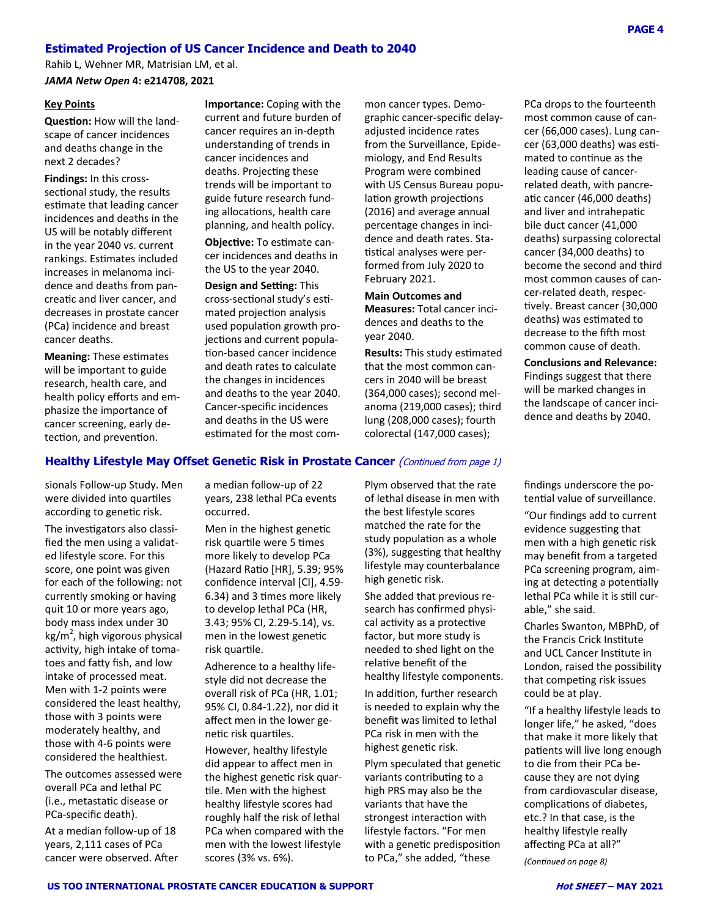# **Estimated Projection of US Cancer Incidence and Death to 2040**

Rahib L, Wehner MR, Matrisian LM, et al.

*JAMA Netw Open* **4: e214708, 2021** 

#### **Key Points**

**Question:** How will the landscape of cancer incidences and deaths change in the next 2 decades?

**Findings:** In this cross‐ sectional study, the results estimate that leading cancer incidences and deaths in the US will be notably different in the year 2040 vs. current rankings. Estimates included increases in melanoma inci‐ dence and deaths from pan‐ creatic and liver cancer, and decreases in prostate cancer (PCa) incidence and breast cancer deaths.

**Meaning: These estimates** will be important to guide research, health care, and health policy efforts and em‐ phasize the importance of cancer screening, early de‐ tection, and prevention.

**Importance:** Coping with the current and future burden of cancer requires an in‐depth understanding of trends in cancer incidences and deaths. Projecting these trends will be important to guide future research fund‐ ing allocations, health care planning, and health policy.

**ObjecƟve:** To esƟmate can‐ cer incidences and deaths in the US to the year 2040.

**Design and Setting: This** cross-sectional study's estimated projection analysis used population growth projections and current population-based cancer incidence and death rates to calculate the changes in incidences and deaths to the year 2040. Cancer‐specific incidences and deaths in the US were estimated for the most common cancer types. Demo‐ graphic cancer‐specific delay‐ adjusted incidence rates from the Surveillance, Epide‐ miology, and End Results Program were combined with US Census Bureau popu‐ lation growth projections (2016) and average annual percentage changes in inci‐ dence and death rates. Sta‐ tistical analyses were performed from July 2020 to February 2021.

#### **Main Outcomes and Measures:** Total cancer inci‐ dences and deaths to the year 2040.

**Results:** This study estimated that the most common can‐ cers in 2040 will be breast (364,000 cases); second mel‐ anoma (219,000 cases); third lung (208,000 cases); fourth colorectal (147,000 cases);

PCa drops to the fourteenth most common cause of can‐ cer (66,000 cases). Lung can‐ cer (63,000 deaths) was estimated to continue as the leading cause of cancer‐ related death, with pancre‐ atic cancer (46,000 deaths) and liver and intrahepatic bile duct cancer (41,000 deaths) surpassing colorectal cancer (34,000 deaths) to become the second and third most common causes of can‐ cer‐related death, respec‐ tively. Breast cancer (30,000 deaths) was estimated to decrease to the fifth most common cause of death.

**Conclusions and Relevance:**

Findings suggest that there will be marked changes in the landscape of cancer inci‐ dence and deaths by 2040.

findings underscore the po‐ tential value of surveillance.

> "Our findings add to current evidence suggesting that men with a high genetic risk may benefit from a targeted PCa screening program, aim‐ ing at detecting a potentially lethal PCa while it is still curable," she said.

Charles Swanton, MBPhD, of the Francis Crick Institute and UCL Cancer Institute in London, raised the possibility that competing risk issues could be at play.

"If a healthy lifestyle leads to longer life," he asked, "does that make it more likely that patients will live long enough to die from their PCa be‐ cause they are not dying from cardiovascular disease, complications of diabetes, etc.? In that case, is the healthy lifestyle really affecting PCa at all?"

*(ConƟnued on page 8)* 

**PAGE 4**

# **Healthy Lifestyle May Offset Genetic Risk in Prostate Cancer** (Continued from page 1)

sionals Follow‐up Study. Men were divided into quartiles according to genetic risk.

The investigators also classified the men using a validat‐ ed lifestyle score. For this score, one point was given for each of the following: not currently smoking or having quit 10 or more years ago, body mass index under 30 kg/m<sup>2</sup>, high vigorous physical activity, high intake of tomatoes and faƩy fish, and low intake of processed meat. Men with 1‐2 points were considered the least healthy, those with 3 points were moderately healthy, and those with 4‐6 points were considered the healthiest.

The outcomes assessed were overall PCa and lethal PC (i.e., metastaƟc disease or PCa‐specific death).

At a median follow‐up of 18 years, 2,111 cases of PCa cancer were observed. After

a median follow‐up of 22 years, 238 lethal PCa events occurred.

Men in the highest genetic risk quartile were 5 times more likely to develop PCa (Hazard RaƟo [HR], 5.39; 95% confidence interval [CI], 4.59‐ 6.34) and 3 Ɵmes more likely to develop lethal PCa (HR, 3.43; 95% CI, 2.29‐5.14), vs. men in the lowest genetic risk quartile.

Adherence to a healthy life‐ style did not decrease the overall risk of PCa (HR, 1.01; 95% CI, 0.84‐1.22), nor did it affect men in the lower ge‐ netic risk quartiles.

However, healthy lifestyle did appear to affect men in the highest genetic risk quartile. Men with the highest healthy lifestyle scores had roughly half the risk of lethal PCa when compared with the men with the lowest lifestyle scores (3% vs. 6%).

Plym observed that the rate of lethal disease in men with the best lifestyle scores matched the rate for the study population as a whole (3%), suggesting that healthy lifestyle may counterbalance high genetic risk.

She added that previous re‐ search has confirmed physi‐ cal activity as a protective factor, but more study is needed to shed light on the relative benefit of the healthy lifestyle components.

In addition, further research is needed to explain why the benefit was limited to lethal PCa risk in men with the highest genetic risk.

Plym speculated that genetic variants contributing to a high PRS may also be the variants that have the strongest interaction with lifestyle factors. "For men with a genetic predisposition to PCa," she added, "these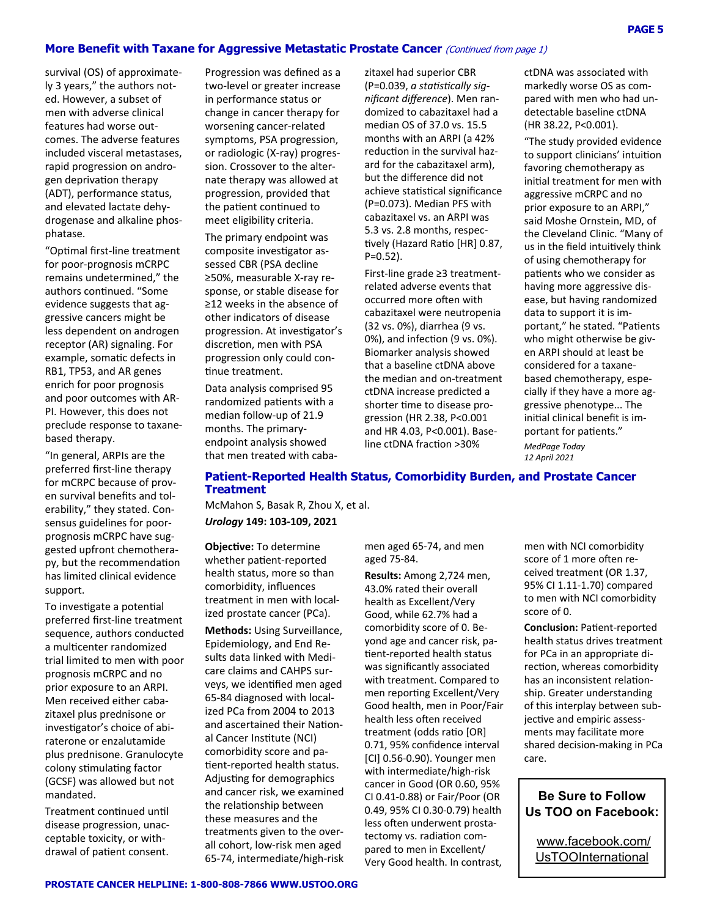#### **More Benefit with Taxane for Aggressive Metastatic Prostate Cancer** (Continued from page 1)

survival (OS) of approximate‐ ly 3 years," the authors not‐ ed. However, a subset of men with adverse clinical features had worse out‐ comes. The adverse features included visceral metastases, rapid progression on andro‐ gen deprivation therapy (ADT), performance status, and elevated lactate dehy‐ drogenase and alkaline phos‐ phatase.

"OpƟmal first‐line treatment for poor‐prognosis mCRPC remains undetermined," the authors continued. "Some evidence suggests that ag‐ gressive cancers might be less dependent on androgen receptor (AR) signaling. For example, somatic defects in RB1, TP53, and AR genes enrich for poor prognosis and poor outcomes with AR‐ PI. However, this does not preclude response to taxane‐ based therapy.

"In general, ARPIs are the preferred first‐line therapy for mCRPC because of prov‐ en survival benefits and tol‐ erability," they stated. Con‐ sensus guidelines for poor‐ prognosis mCRPC have sug‐ gested upfront chemothera‐ py, but the recommendation has limited clinical evidence support.

To investigate a potential preferred first‐line treatment sequence, authors conducted a multicenter randomized trial limited to men with poor prognosis mCRPC and no prior exposure to an ARPI. Men received either caba‐ zitaxel plus prednisone or investigator's choice of abiraterone or enzalutamide plus prednisone. Granulocyte colony stimulating factor (GCSF) was allowed but not mandated.

Treatment continued until disease progression, unac‐ ceptable toxicity, or with‐ drawal of patient consent.

Progression was defined as a two‐level or greater increase in performance status or change in cancer therapy for worsening cancer‐related symptoms, PSA progression, or radiologic (X‐ray) progres‐ sion. Crossover to the alter‐ nate therapy was allowed at progression, provided that the patient continued to meet eligibility criteria.

The primary endpoint was composite investigator assessed CBR (PSA decline ≥50%, measurable X‐ray re‐ sponse, or stable disease for ≥12 weeks in the absence of other indicators of disease progression. At investigator's discretion, men with PSA progression only could con‐ tinue treatment.

Data analysis comprised 95 randomized patients with a median follow‐up of 21.9 months. The primary‐ endpoint analysis showed that men treated with caba‐ zitaxel had superior CBR (P=0.039, *a staƟsƟcally significant difference*). Men ran‐ domized to cabazitaxel had a median OS of 37.0 vs. 15.5 months with an ARPI (a 42% reduction in the survival hazard for the cabazitaxel arm), but the difference did not achieve statistical significance (P=0.073). Median PFS with cabazitaxel vs. an ARPI was 5.3 vs. 2.8 months, respec‐ tively (Hazard Ratio [HR] 0.87,  $P=0.52$ ).

First‐line grade ≥3 treatment‐ related adverse events that occurred more often with cabazitaxel were neutropenia (32 vs. 0%), diarrhea (9 vs. 0%), and infection (9 vs. 0%). Biomarker analysis showed that a baseline ctDNA above the median and on‐treatment ctDNA increase predicted a shorter time to disease progression (HR 2.38, P<0.001 and HR 4.03, P<0.001). Base‐ line ctDNA fraction >30%

ctDNA was associated with markedly worse OS as com‐ pared with men who had un‐ detectable baseline ctDNA (HR 38.22, P<0.001).

"The study provided evidence to support clinicians' intuition favoring chemotherapy as initial treatment for men with aggressive mCRPC and no prior exposure to an ARPI," said Moshe Ornstein, MD, of the Cleveland Clinic. "Many of us in the field intuitively think of using chemotherapy for patients who we consider as having more aggressive dis‐ ease, but having randomized data to support it is im‐ portant," he stated. "Patients who might otherwise be given ARPI should at least be considered for a taxane‐ based chemotherapy, espe‐ cially if they have a more ag‐ gressive phenotype... The initial clinical benefit is important for patients."

*MedPage Today 12 April 2021* 

#### **Patient-Reported Health Status, Comorbidity Burden, and Prostate Cancer Treatment**

McMahon S, Basak R, Zhou X, et al. *Urology* **149: 103‐109, 2021**

**ObjecƟve:** To determine whether patient-reported health status, more so than comorbidity, influences treatment in men with local‐ ized prostate cancer (PCa). **Methods:** Using Surveillance, Epidemiology, and End Re‐ sults data linked with Medi‐ care claims and CAHPS sur‐ veys, we idenƟfied men aged 65‐84 diagnosed with local‐ ized PCa from 2004 to 2013 and ascertained their National Cancer Institute (NCI) comorbidity score and pa‐ tient-reported health status. Adjusting for demographics and cancer risk, we examined the relationship between these measures and the treatments given to the over‐ all cohort, low‐risk men aged 65‐74, intermediate/high‐risk

men aged 65‐74, and men aged 75‐84.

**Results:** Among 2,724 men, 43.0% rated their overall health as Excellent/Very Good, while 62.7% had a comorbidity score of 0. Be‐ yond age and cancer risk, pa‐ tient-reported health status was significantly associated with treatment. Compared to men reporting Excellent/Very Good health, men in Poor/Fair health less often received treatment (odds ratio [OR] 0.71, 95% confidence interval [CI] 0.56‐0.90). Younger men with intermediate/high‐risk cancer in Good (OR 0.60, 95% CI 0.41‐0.88) or Fair/Poor (OR 0.49, 95% CI 0.30‐0.79) health less often underwent prostatectomy vs. radiation compared to men in Excellent/ Very Good health. In contrast,

men with NCI comorbidity score of 1 more often received treatment (OR 1.37, 95% CI 1.11‐1.70) compared to men with NCI comorbidity score of 0.

**Conclusion: Patient-reported** health status drives treatment for PCa in an appropriate di‐ rection, whereas comorbidity has an inconsistent relationship. Greater understanding of this interplay between sub‐ jective and empiric assessments may facilitate more shared decision‐making in PCa care.

**Be Sure to Follow Us TOO on Facebook:** 

www.facebook.com/ UsTOOInternational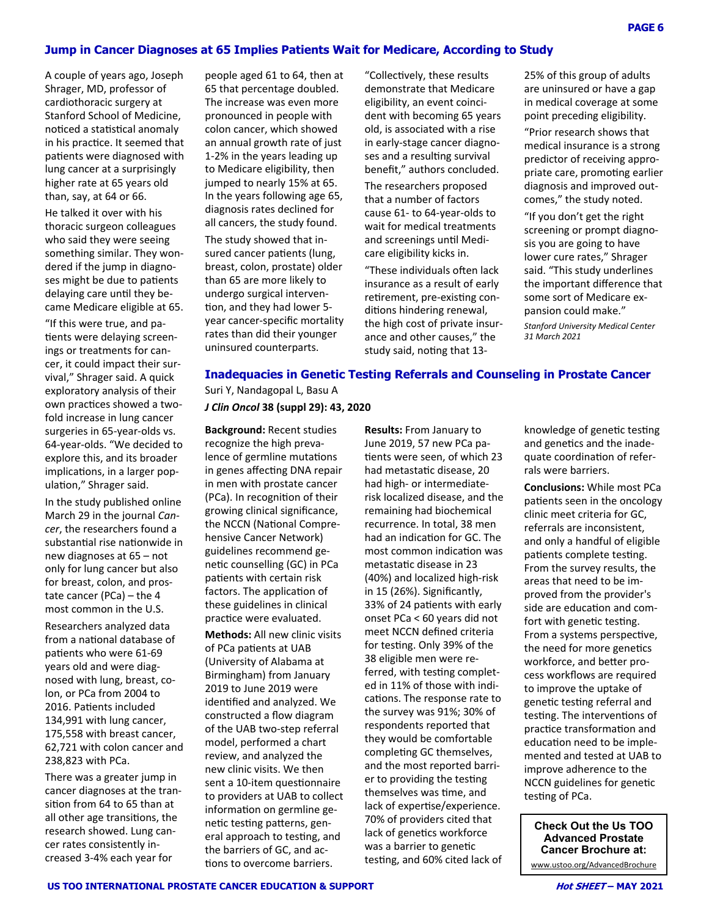#### **Jump in Cancer Diagnoses at 65 Implies Patients Wait for Medicare, According to Study**

A couple of years ago, Joseph Shrager, MD, professor of cardiothoracic surgery at Stanford School of Medicine, noticed a statistical anomaly in his practice. It seemed that patients were diagnosed with lung cancer at a surprisingly higher rate at 65 years old than, say, at 64 or 66.

He talked it over with his thoracic surgeon colleagues who said they were seeing something similar. They won‐ dered if the jump in diagno‐ ses might be due to patients delaying care until they became Medicare eligible at 65.

"If this were true, and pa‐ tients were delaying screenings or treatments for can‐ cer, it could impact their sur‐ vival," Shrager said. A quick exploratory analysis of their own practices showed a twofold increase in lung cancer surgeries in 65‐year‐olds vs. 64‐year‐olds. "We decided to explore this, and its broader implications, in a larger population," Shrager said.

In the study published online March 29 in the journal *Cancer*, the researchers found a substantial rise nationwide in new diagnoses at 65 – not only for lung cancer but also for breast, colon, and pros‐ tate cancer (PCa) – the 4 most common in the U.S.

Researchers analyzed data from a national database of patients who were 61-69 years old and were diag‐ nosed with lung, breast, co‐ lon, or PCa from 2004 to 2016. Patients included 134,991 with lung cancer, 175,558 with breast cancer, 62,721 with colon cancer and 238,823 with PCa.

There was a greater jump in cancer diagnoses at the tran‐ sition from 64 to 65 than at all other age transitions, the research showed. Lung can‐ cer rates consistently in‐ creased 3‐4% each year for

people aged 61 to 64, then at 65 that percentage doubled. The increase was even more pronounced in people with colon cancer, which showed an annual growth rate of just 1‐2% in the years leading up to Medicare eligibility, then jumped to nearly 15% at 65. In the years following age 65, diagnosis rates declined for all cancers, the study found.

The study showed that in‐ sured cancer patients (lung, breast, colon, prostate) older than 65 are more likely to undergo surgical interven‐ tion, and they had lower 5year cancer‐specific mortality rates than did their younger uninsured counterparts.

"Collectively, these results demonstrate that Medicare eligibility, an event coinci‐ dent with becoming 65 years old, is associated with a rise in early‐stage cancer diagno‐ ses and a resulting survival benefit," authors concluded.

The researchers proposed that a number of factors cause 61‐ to 64‐year‐olds to wait for medical treatments and screenings until Medicare eligibility kicks in.

"These individuals often lack insurance as a result of early retirement, pre-existing conditions hindering renewal, the high cost of private insur‐ ance and other causes," the study said, noting that 1325% of this group of adults are uninsured or have a gap in medical coverage at some point preceding eligibility.

"Prior research shows that medical insurance is a strong predictor of receiving appro‐ priate care, promoting earlier diagnosis and improved out‐ comes," the study noted.

"If you don't get the right screening or prompt diagno‐ sis you are going to have lower cure rates," Shrager said. "This study underlines the important difference that some sort of Medicare ex‐ pansion could make." *Stanford University Medical Center* 

*31 March 2021* 

# **Inadequacies in Genetic Testing Referrals and Counseling in Prostate Cancer**

Suri Y, Nandagopal L, Basu A *J Clin Oncol* **38 (suppl 29): 43, 2020** 

**Background:** Recent studies recognize the high preva‐ lence of germline mutations in genes affecting DNA repair in men with prostate cancer (PCa). In recognition of their growing clinical significance, the NCCN (National Comprehensive Cancer Network) guidelines recommend ge‐ netic counselling (GC) in PCa patients with certain risk factors. The application of these guidelines in clinical practice were evaluated.

**Methods:** All new clinic visits of PCa patients at UAB (University of Alabama at Birmingham) from January 2019 to June 2019 were identified and analyzed. We constructed a flow diagram of the UAB two‐step referral model, performed a chart review, and analyzed the new clinic visits. We then sent a 10-item questionnaire to providers at UAB to collect information on germline genetic testing patterns, general approach to testing, and the barriers of GC, and ac‐ tions to overcome barriers.

**Results:** From January to June 2019, 57 new PCa pa‐ tients were seen, of which 23 had metastatic disease, 20 had high‐ or intermediate‐ risk localized disease, and the remaining had biochemical recurrence. In total, 38 men had an indication for GC. The most common indication was metastaƟc disease in 23 (40%) and localized high‐risk in 15 (26%). Significantly, 33% of 24 patients with early onset PCa < 60 years did not meet NCCN defined criteria for testing. Only 39% of the 38 eligible men were re‐ ferred, with testing completed in 11% of those with indi‐ cations. The response rate to the survey was 91%; 30% of respondents reported that they would be comfortable completing GC themselves, and the most reported barri‐ er to providing the testing themselves was Ɵme, and lack of expertise/experience. 70% of providers cited that lack of genetics workforce was a barrier to genetic testing, and 60% cited lack of

knowledge of genetic testing and genetics and the inadequate coordination of referrals were barriers.

**Conclusions:** While most PCa patients seen in the oncology clinic meet criteria for GC, referrals are inconsistent, and only a handful of eligible patients complete testing. From the survey results, the areas that need to be im‐ proved from the provider's side are education and comfort with genetic testing. From a systems perspective, the need for more genetics workforce, and better process workflows are required to improve the uptake of genetic testing referral and testing. The interventions of practice transformation and education need to be implemented and tested at UAB to improve adherence to the NCCN guidelines for genetic testing of PCa.

**Check Out the Us TOO Advanced Prostate Cancer Brochure at:**  www.ustoo.org/AdvancedBrochure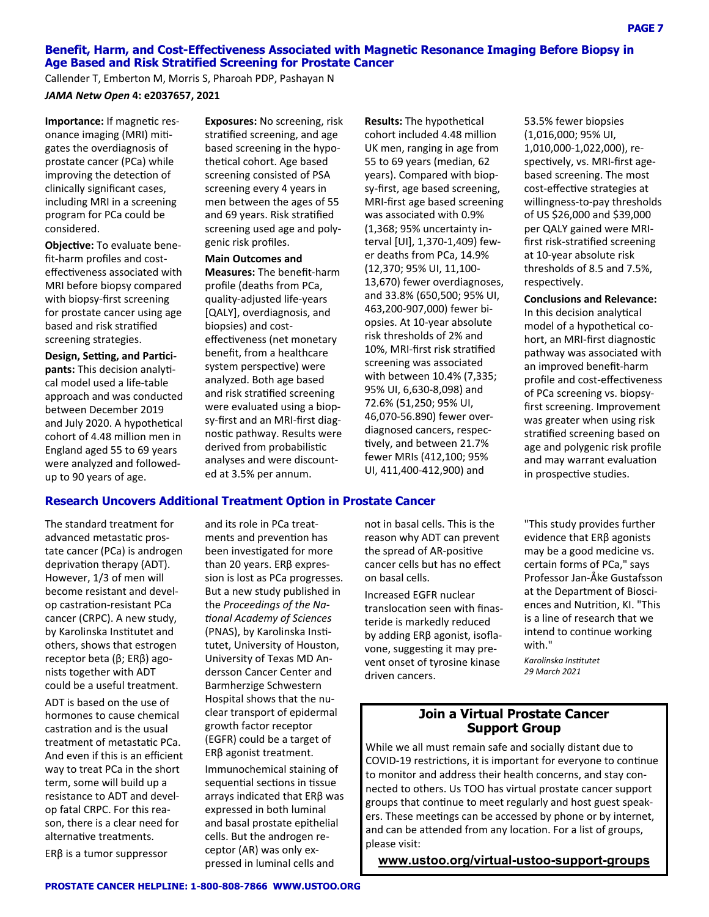### **Benefit, Harm, and Cost-Effectiveness Associated with Magnetic Resonance Imaging Before Biopsy in Age Based and Risk Stratified Screening for Prostate Cancer**

Callender T, Emberton M, Morris S, Pharoah PDP, Pashayan N *JAMA Netw Open* **4: e2037657, 2021** 

**Importance:** If magnetic resonance imaging (MRI) mitigates the overdiagnosis of prostate cancer (PCa) while improving the detection of clinically significant cases, including MRI in a screening program for PCa could be considered.

**ObjecƟve:** To evaluate bene‐ fit‐harm profiles and cost‐ effectiveness associated with MRI before biopsy compared with biopsy‐first screening for prostate cancer using age based and risk straƟfied screening strategies.

**Design, Seƫng, and ParƟci‐** pants: This decision analytical model used a life‐table approach and was conducted between December 2019 and July 2020. A hypothetical cohort of 4.48 million men in England aged 55 to 69 years were analyzed and followed‐ up to 90 years of age.

**Exposures:** No screening, risk stratified screening, and age based screening in the hypo‐ theƟcal cohort. Age based screening consisted of PSA screening every 4 years in men between the ages of 55 and 69 years. Risk stratified screening used age and poly‐ genic risk profiles.

**Main Outcomes and Measures:** The benefit‐harm profile (deaths from PCa, quality‐adjusted life‐years [QALY], overdiagnosis, and biopsies) and cost‐ effectiveness (net monetary benefit, from a healthcare system perspective) were analyzed. Both age based and risk stratified screening were evaluated using a biop‐ sy‐first and an MRI‐first diag‐ nostic pathway. Results were derived from probabilistic analyses and were discount‐ ed at 3.5% per annum.

**Results:** The hypothetical cohort included 4.48 million UK men, ranging in age from 55 to 69 years (median, 62 years). Compared with biop‐ sy‐first, age based screening, MRI‐first age based screening was associated with 0.9% (1,368; 95% uncertainty in‐ terval [UI], 1,370‐1,409) few‐ er deaths from PCa, 14.9% (12,370; 95% UI, 11,100‐ 13,670) fewer overdiagnoses, and 33.8% (650,500; 95% UI, 463,200‐907,000) fewer bi‐ opsies. At 10‐year absolute risk thresholds of 2% and 10%, MRI-first risk stratified screening was associated with between 10.4% (7,335; 95% UI, 6,630‐8,098) and 72.6% (51,250; 95% UI, 46,070‐56.890) fewer over‐ diagnosed cancers, respec‐ tively, and between 21.7% fewer MRIs (412,100; 95% UI, 411,400‐412,900) and

53.5% fewer biopsies (1,016,000; 95% UI, 1,010,000‐1,022,000), re‐ spectively, vs. MRI-first agebased screening. The most cost-effective strategies at willingness‐to‐pay thresholds of US \$26,000 and \$39,000 per QALY gained were MRI‐ first risk-stratified screening at 10‐year absolute risk thresholds of 8.5 and 7.5%, respectively.

**Conclusions and Relevance:** In this decision analytical model of a hypothetical cohort, an MRI-first diagnostic pathway was associated with an improved benefit‐harm profile and cost-effectiveness of PCa screening vs. biopsy‐ first screening. Improvement was greater when using risk stratified screening based on age and polygenic risk profile and may warrant evaluation in prospective studies.

# **Research Uncovers Additional Treatment Option in Prostate Cancer**

The standard treatment for advanced metastatic prostate cancer (PCa) is androgen deprivation therapy (ADT). However, 1/3 of men will become resistant and devel‐ op castration-resistant PCa cancer (CRPC). A new study, by Karolinska Institutet and others, shows that estrogen receptor beta (β; ERβ) ago‐ nists together with ADT could be a useful treatment.

ADT is based on the use of hormones to cause chemical castration and is the usual treatment of metastaƟc PCa. And even if this is an efficient way to treat PCa in the short term, some will build up a resistance to ADT and devel‐ op fatal CRPC. For this rea‐ son, there is a clear need for alternative treatments. ERβ is a tumor suppressor

and its role in PCa treat‐ ments and prevention has been investigated for more than 20 years. ERβ expres‐ sion is lost as PCa progresses. But a new study published in the *Proceedings of the Na-Ɵonal Academy of Sciences* (PNAS), by Karolinska Institutet, University of Houston, University of Texas MD An‐ dersson Cancer Center and Barmherzige Schwestern Hospital shows that the nu‐ clear transport of epidermal growth factor receptor (EGFR) could be a target of ERβ agonist treatment. Immunochemical staining of sequential sections in tissue arrays indicated that ERβ was expressed in both luminal and basal prostate epithelial cells. But the androgen re‐ ceptor (AR) was only ex‐ pressed in luminal cells and

not in basal cells. This is the reason why ADT can prevent the spread of AR-positive cancer cells but has no effect on basal cells.

Increased EGFR nuclear translocation seen with finasteride is markedly reduced by adding ERβ agonist, isofla‐ vone, suggesting it may prevent onset of tyrosine kinase driven cancers.

"This study provides further evidence that ERβ agonists may be a good medicine vs. certain forms of PCa," says Professor Jan‐Åke Gustafsson at the Department of Biosci‐ ences and Nutrition, KI. "This is a line of research that we intend to continue working with."

*Karolinska InsƟtutet 29 March 2021* 

# **Join a Virtual Prostate Cancer Support Group**

While we all must remain safe and socially distant due to COVID-19 restrictions, it is important for everyone to continue to monitor and address their health concerns, and stay con‐ nected to others. Us TOO has virtual prostate cancer support groups that continue to meet regularly and host guest speakers. These meetings can be accessed by phone or by internet, and can be attended from any location. For a list of groups, please visit:

**www.ustoo.org/virtual-ustoo-support-groups**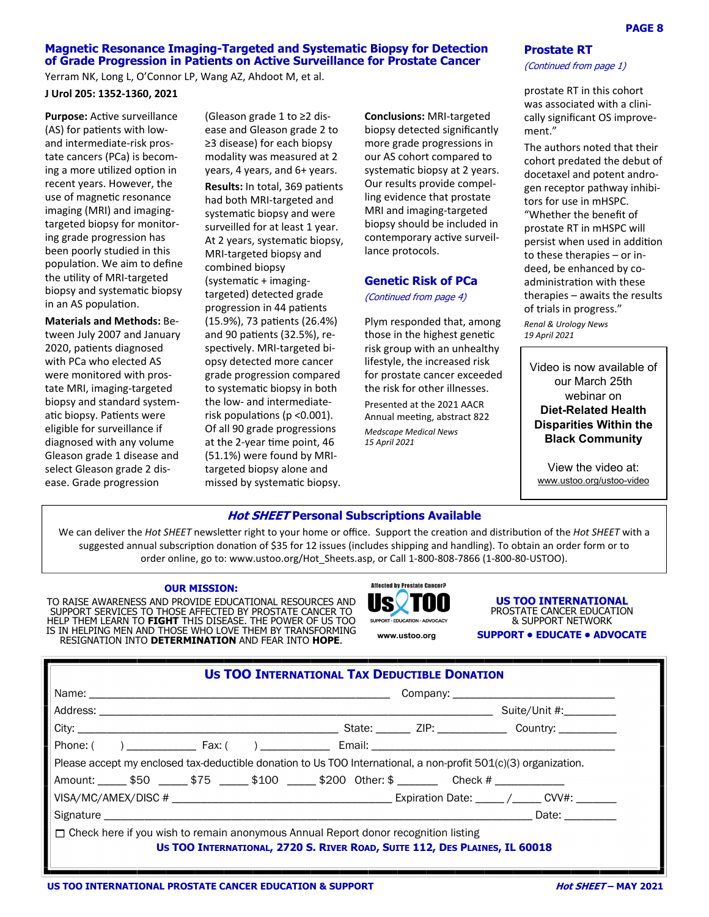#### **Magnetic Resonance Imaging-Targeted and Systematic Biopsy for Detection of Grade Progression in Patients on Active Surveillance for Prostate Cancer**

Yerram NK, Long L, O'Connor LP, Wang AZ, Ahdoot M, et al.

**J Urol 205: 1352‐1360, 2021**

**Purpose:** Active surveillance (AS) for patients with lowand intermediate‐risk pros‐ tate cancers (PCa) is becom‐ ing a more utilized option in recent years. However, the use of magnetic resonance imaging (MRI) and imaging‐ targeted biopsy for monitor‐ ing grade progression has been poorly studied in this population. We aim to define the uƟlity of MRI‐targeted biopsy and systemaƟc biopsy in an AS population.

**Materials and Methods:** Be‐ tween July 2007 and January 2020, patients diagnosed with PCa who elected AS were monitored with pros‐ tate MRI, imaging‐targeted biopsy and standard system‐ atic biopsy. Patients were eligible for surveillance if diagnosed with any volume Gleason grade 1 disease and select Gleason grade 2 dis‐ ease. Grade progression

(Gleason grade 1 to ≥2 dis‐ ease and Gleason grade 2 to ≥3 disease) for each biopsy modality was measured at 2 years, 4 years, and 6+ years.

**Results:** In total, 369 patients had both MRI‐targeted and systematic biopsy and were surveilled for at least 1 year. At 2 years, systematic biopsy, MRI‐targeted biopsy and combined biopsy (systemaƟc + imaging‐ targeted) detected grade progression in 44 patients (15.9%), 73 patients (26.4%) and 90 patients  $(32.5%)$ , respectively. MRI-targeted biopsy detected more cancer grade progression compared to systematic biopsy in both the low‐ and intermediate‐ risk populations (p  $<0.001$ ). Of all 90 grade progressions at the 2-year time point, 46 (51.1%) were found by MRI‐ targeted biopsy alone and missed by systematic biopsy.

**Conclusions:** MRI‐targeted biopsy detected significantly more grade progressions in our AS cohort compared to systematic biopsy at 2 years. Our results provide compel‐ ling evidence that prostate MRI and imaging‐targeted biopsy should be included in contemporary active surveillance protocols.

#### **Genetic Risk of PCa**

(Continued from page 4)

Plym responded that, among those in the highest genetic risk group with an unhealthy lifestyle, the increased risk for prostate cancer exceeded the risk for other illnesses. Presented at the 2021 AACR Annual meeting, abstract 822 *Medscape Medical News 15 April 2021* 

#### **Prostate RT**

#### (Continued from page 1)

prostate RT in this cohort was associated with a clini‐ cally significant OS improve‐ ment."

The authors noted that their cohort predated the debut of docetaxel and potent andro‐ gen receptor pathway inhibi‐ tors for use in mHSPC. "Whether the benefit of prostate RT in mHSPC will persist when used in addition to these therapies – or in‐ deed, be enhanced by co‐ administration with these therapies – awaits the results of trials in progress."

*Renal & Urology News 19 April 2021* 

Video is now available of our March 25th webinar on **Diet-Related Health Disparities Within the Black Community**

View the video at: www.ustoo.org/ustoo-video

#### **Hot SHEET Personal Subscriptions Available**

We can deliver the *Hot SHEET* newsletter right to your home or office. Support the creation and distribution of the *Hot SHEET* with a suggested annual subscription donation of \$35 for 12 issues (includes shipping and handling). To obtain an order form or to order online, go to: www.ustoo.org/Hot Sheets.asp, or Call 1‐800‐808‐7866 (1‐800‐80‐USTOO).

#### **OUR MISSION:**

TO RAISE AWARENESS AND PROVIDE EDUCATIONAL RESOURCES AND SUPPORT SERVICES TO THOSE AFFECTED BY PROSTATE CANCER TO HELP THEM LEARN TO **FIGHT** THIS DISEASE. THE POWER OF US TOO IS IN HELPING MEN AND THOSE WHO LOVE THEM BY TRANSFORMING RESIGNATION INTO **DETERMINATION** AND FEAR INTO **HOPE**.



**US TOO INTERNATIONAL** PROSTATE CANCER EDUCATION & SUPPORT NETWORK **www.ustoo.org SUPPORT • EDUCATE • ADVOCATE** 

| <b>US TOO INTERNATIONAL TAX DEDUCTIBLE DONATION</b>                                                                                                                     |                                                                                                                   |  |  |  |  |
|-------------------------------------------------------------------------------------------------------------------------------------------------------------------------|-------------------------------------------------------------------------------------------------------------------|--|--|--|--|
|                                                                                                                                                                         |                                                                                                                   |  |  |  |  |
|                                                                                                                                                                         |                                                                                                                   |  |  |  |  |
|                                                                                                                                                                         |                                                                                                                   |  |  |  |  |
|                                                                                                                                                                         |                                                                                                                   |  |  |  |  |
|                                                                                                                                                                         | Please accept my enclosed tax-deductible donation to Us TOO International, a non-profit $501(c)(3)$ organization. |  |  |  |  |
| Amount: 650 16.1 \$75 16.100 16.100 \$200 0ther: \$                                                                                                                     |                                                                                                                   |  |  |  |  |
|                                                                                                                                                                         |                                                                                                                   |  |  |  |  |
|                                                                                                                                                                         |                                                                                                                   |  |  |  |  |
| $\Box$ Check here if you wish to remain anonymous Annual Report donor recognition listing<br>US TOO INTERNATIONAL, 2720 S. RIVER ROAD, SUITE 112, DES PLAINES, IL 60018 |                                                                                                                   |  |  |  |  |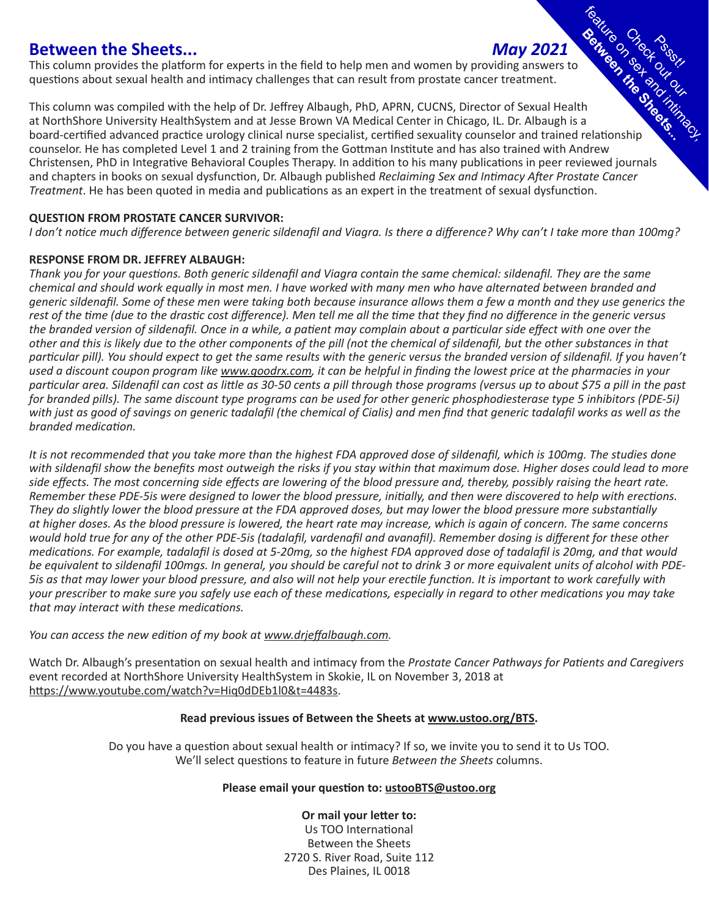# **Between the Sheets...** *May 2021*

This column provides the platform for experts in the field to help men and women by providing answers to questions about sexual health and intimacy challenges that can result from prostate cancer treatment.

Check out Feature on sex asset This column was compiled with the help of Dr. Jeffrey Albaugh, PhD, APRN, CUCNS, Director of Sexual Health at NorthShore University HealthSystem and at Jesse Brown VA Medical Center in Chicago, IL. Dr. Albaugh is a board-certified advanced practice urology clinical nurse specialist, certified sexuality counselor and trained relationship counselor. He has completed Level 1 and 2 training from the Gottman Institute and has also trained with Andrew Christensen, PhD in Integrative Behavioral Couples Therapy. In addition to his many publications in peer reviewed journals and chapters in books on sexual dysfunction, Dr. Albaugh published *Reclaiming Sex and Intimacy After Prostate Cancer Treatment*. He has been quoted in media and publications as an expert in the treatment of sexual dysfunction.

# **QUESTION FROM PROSTATE CANCER SURVIVOR:**

*I don't notice much difference between generic sildenafil and Viagra. Is there a difference? Why can't I take more than 100mg?*

# **RESPONSE FROM DR. JEFFREY ALBAUGH:**

*Thank you for your questions. Both generic sildenafil and Viagra contain the same chemical: sildenafil. They are the same chemical and should work equally in most men. I have worked with many men who have alternated between branded and generic sildenafil. Some of these men were taking both because insurance allows them a few a month and they use generics the rest of the time (due to the drastic cost difference). Men tell me all the time that they find no difference in the generic versus the branded version of sildenafil. Once in a while, a patient may complain about a particular side effect with one over the other and this is likely due to the other components of the pill (not the chemical of sildenafil, but the other substances in that particular pill). You should expect to get the same results with the generic versus the branded version of sildenafil. If you haven't used a discount coupon program like www.goodrx.com, it can be helpful in finding the lowest price at the pharmacies in your particular area. Sildenafil can cost as little as 30-50 cents a pill through those programs (versus up to about \$75 a pill in the past for branded pills). The same discount type programs can be used for other generic phosphodiesterase type 5 inhibitors (PDE-5i) with just as good of savings on generic tadalafil (the chemical of Cialis) and men find that generic tadalafil works as well as the branded medication.* 

*It is not recommended that you take more than the highest FDA approved dose of sildenafil, which is 100mg. The studies done with sildenafil show the benefits most outweigh the risks if you stay within that maximum dose. Higher doses could lead to more side effects. The most concerning side effects are lowering of the blood pressure and, thereby, possibly raising the heart rate. Remember these PDE-5is were designed to lower the blood pressure, initially, and then were discovered to help with erections. They do slightly lower the blood pressure at the FDA approved doses, but may lower the blood pressure more substantially at higher doses. As the blood pressure is lowered, the heart rate may increase, which is again of concern. The same concerns would hold true for any of the other PDE-5is (tadalafil, vardenafil and avanafil). Remember dosing is different for these other medications. For example, tadalafil is dosed at 5-20mg, so the highest FDA approved dose of tadalafil is 20mg, and that would be equivalent to sildenafil 100mgs. In general, you should be careful not to drink 3 or more equivalent units of alcohol with PDE-5is as that may lower your blood pressure, and also will not help your erectile function. It is important to work carefully with your prescriber to make sure you safely use each of these medications, especially in regard to other medications you may take that may interact with these medications.* 

# *You can access the new edition of my book at www.drjeffalbaugh.com.*

Watch Dr. Albaugh's presentation on sexual health and intimacy from the *Prostate Cancer Pathways for Patients and Caregivers* event recorded at NorthShore University HealthSystem in Skokie, IL on November 3, 2018 at https://www.youtube.com/watch?v=Hiq0dDEb1l0&t=4483s.

# **Read previous issues of Between the Sheets at www.ustoo.org/BTS.**

Do you have a question about sexual health or intimacy? If so, we invite you to send it to Us TOO. We'll select questions to feature in future *Between the Sheets* columns.

# **Please email your question to: ustooBTS@ustoo.org**

**Or mail your letter to:** Us TOO International Between the Sheets 2720 S. River Road, Suite 112 Des Plaines, IL 0018